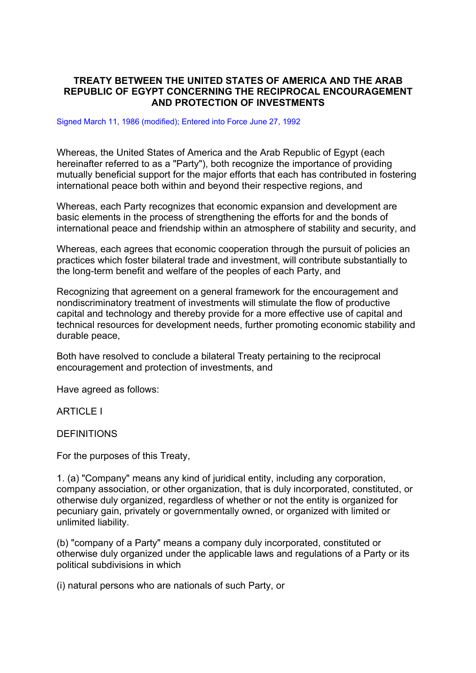# **TREATY BETWEEN THE UNITED STATES OF AMERICA AND THE ARAB REPUBLIC OF EGYPT CONCERNING THE RECIPROCAL ENCOURAGEMENT AND PROTECTION OF INVESTMENTS**

Signed March 11, 1986 (modified); Entered into Force June 27, 1992

Whereas, the United States of America and the Arab Republic of Egypt (each hereinafter referred to as a "Party"), both recognize the importance of providing mutually beneficial support for the major efforts that each has contributed in fostering international peace both within and beyond their respective regions, and

Whereas, each Party recognizes that economic expansion and development are basic elements in the process of strengthening the efforts for and the bonds of international peace and friendship within an atmosphere of stability and security, and

Whereas, each agrees that economic cooperation through the pursuit of policies an practices which foster bilateral trade and investment, will contribute substantially to the long-term benefit and welfare of the peoples of each Party, and

Recognizing that agreement on a general framework for the encouragement and nondiscriminatory treatment of investments will stimulate the flow of productive capital and technology and thereby provide for a more effective use of capital and technical resources for development needs, further promoting economic stability and durable peace,

Both have resolved to conclude a bilateral Treaty pertaining to the reciprocal encouragement and protection of investments, and

Have agreed as follows:

**ARTICLE I** 

**DEFINITIONS** 

For the purposes of this Treaty,

1. (a) "Company" means any kind of juridical entity, including any corporation, company association, or other organization, that is duly incorporated, constituted, or otherwise duly organized, regardless of whether or not the entity is organized for pecuniary gain, privately or governmentally owned, or organized with limited or unlimited liability.

(b) "company of a Party" means a company duly incorporated, constituted or otherwise duly organized under the applicable laws and regulations of a Party or its political subdivisions in which

(i) natural persons who are nationals of such Party, or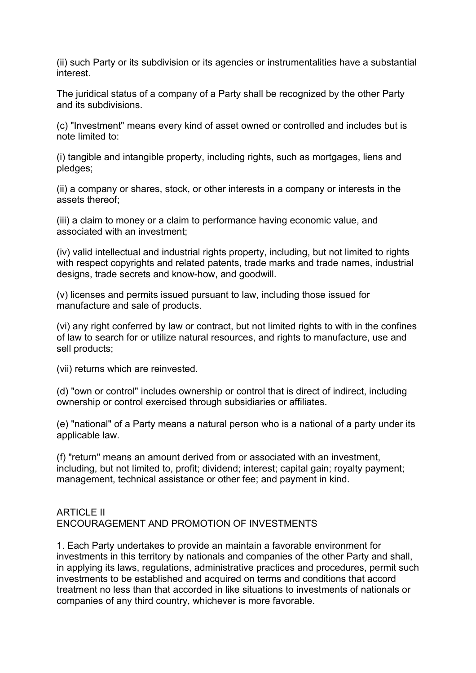(ii) such Party or its subdivision or its agencies or instrumentalities have a substantial interest.

The juridical status of a company of a Party shall be recognized by the other Party and its subdivisions.

(c) "Investment" means every kind of asset owned or controlled and includes but is note limited to:

(i) tangible and intangible property, including rights, such as mortgages, liens and pledges;

(ii) a company or shares, stock, or other interests in a company or interests in the assets thereof;

(iii) a claim to money or a claim to performance having economic value, and associated with an investment;

(iv) valid intellectual and industrial rights property, including, but not limited to rights with respect copyrights and related patents, trade marks and trade names, industrial designs, trade secrets and know-how, and goodwill.

(v) licenses and permits issued pursuant to law, including those issued for manufacture and sale of products.

(vi) any right conferred by law or contract, but not limited rights to with in the confines of law to search for or utilize natural resources, and rights to manufacture, use and sell products;

(vii) returns which are reinvested.

(d) "own or control" includes ownership or control that is direct of indirect, including ownership or control exercised through subsidiaries or affiliates.

(e) "national" of a Party means a natural person who is a national of a party under its applicable law.

(f) "return" means an amount derived from or associated with an investment, including, but not limited to, profit; dividend; interest; capital gain; royalty payment; management, technical assistance or other fee; and payment in kind.

### ARTICLE II ENCOURAGEMENT AND PROMOTION OF INVESTMENTS

1. Each Party undertakes to provide an maintain a favorable environment for investments in this territory by nationals and companies of the other Party and shall, in applying its laws, regulations, administrative practices and procedures, permit such investments to be established and acquired on terms and conditions that accord treatment no less than that accorded in like situations to investments of nationals or companies of any third country, whichever is more favorable.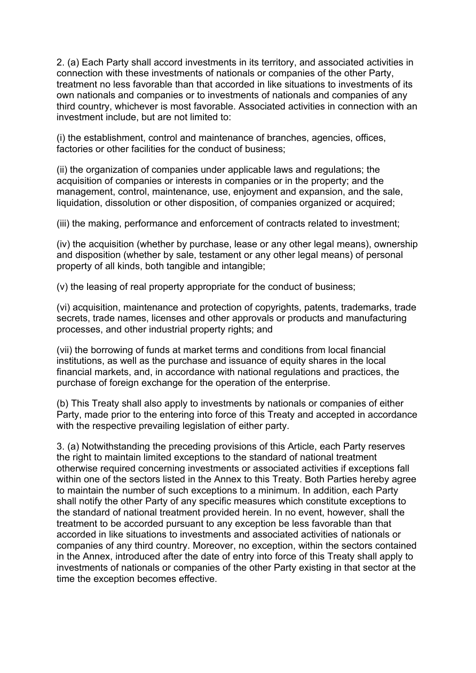2. (a) Each Party shall accord investments in its territory, and associated activities in connection with these investments of nationals or companies of the other Party, treatment no less favorable than that accorded in like situations to investments of its own nationals and companies or to investments of nationals and companies of any third country, whichever is most favorable. Associated activities in connection with an investment include, but are not limited to:

(i) the establishment, control and maintenance of branches, agencies, offices, factories or other facilities for the conduct of business;

(ii) the organization of companies under applicable laws and regulations; the acquisition of companies or interests in companies or in the property; and the management, control, maintenance, use, enjoyment and expansion, and the sale, liquidation, dissolution or other disposition, of companies organized or acquired;

(iii) the making, performance and enforcement of contracts related to investment;

(iv) the acquisition (whether by purchase, lease or any other legal means), ownership and disposition (whether by sale, testament or any other legal means) of personal property of all kinds, both tangible and intangible;

(v) the leasing of real property appropriate for the conduct of business;

(vi) acquisition, maintenance and protection of copyrights, patents, trademarks, trade secrets, trade names, licenses and other approvals or products and manufacturing processes, and other industrial property rights; and

(vii) the borrowing of funds at market terms and conditions from local financial institutions, as well as the purchase and issuance of equity shares in the local financial markets, and, in accordance with national regulations and practices, the purchase of foreign exchange for the operation of the enterprise.

(b) This Treaty shall also apply to investments by nationals or companies of either Party, made prior to the entering into force of this Treaty and accepted in accordance with the respective prevailing legislation of either party.

3. (a) Notwithstanding the preceding provisions of this Article, each Party reserves the right to maintain limited exceptions to the standard of national treatment otherwise required concerning investments or associated activities if exceptions fall within one of the sectors listed in the Annex to this Treaty. Both Parties hereby agree to maintain the number of such exceptions to a minimum. In addition, each Party shall notify the other Party of any specific measures which constitute exceptions to the standard of national treatment provided herein. In no event, however, shall the treatment to be accorded pursuant to any exception be less favorable than that accorded in like situations to investments and associated activities of nationals or companies of any third country. Moreover, no exception, within the sectors contained in the Annex, introduced after the date of entry into force of this Treaty shall apply to investments of nationals or companies of the other Party existing in that sector at the time the exception becomes effective.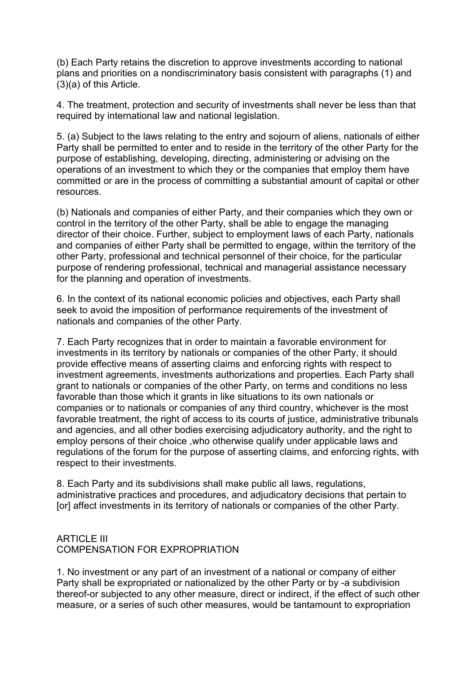(b) Each Party retains the discretion to approve investments according to national plans and priorities on a nondiscriminatory basis consistent with paragraphs (1) and (3)(a) of this Article.

4. The treatment, protection and security of investments shall never be less than that required by international law and national legislation.

5. (a) Subject to the laws relating to the entry and sojourn of aliens, nationals of either Party shall be permitted to enter and to reside in the territory of the other Party for the purpose of establishing, developing, directing, administering or advising on the operations of an investment to which they or the companies that employ them have committed or are in the process of committing a substantial amount of capital or other resources.

(b) Nationals and companies of either Party, and their companies which they own or control in the territory of the other Party, shall be able to engage the managing director of their choice. Further, subject to employment laws of each Party, nationals and companies of either Party shall be permitted to engage, within the territory of the other Party, professional and technical personnel of their choice, for the particular purpose of rendering professional, technical and managerial assistance necessary for the planning and operation of investments.

6. In the context of its national economic policies and objectives, each Party shall seek to avoid the imposition of performance requirements of the investment of nationals and companies of the other Party.

7. Each Party recognizes that in order to maintain a favorable environment for investments in its territory by nationals or companies of the other Party, it should provide effective means of asserting claims and enforcing rights with respect to investment agreements, investments authorizations and properties. Each Party shall grant to nationals or companies of the other Party, on terms and conditions no less favorable than those which it grants in like situations to its own nationals or companies or to nationals or companies of any third country, whichever is the most favorable treatment, the right of access to its courts of justice, administrative tribunals and agencies, and all other bodies exercising adjudicatory authority, and the right to employ persons of their choice ,who otherwise qualify under applicable laws and regulations of the forum for the purpose of asserting claims, and enforcing rights, with respect to their investments.

8. Each Party and its subdivisions shall make public all laws, regulations, administrative practices and procedures, and adjudicatory decisions that pertain to [or] affect investments in its territory of nationals or companies of the other Party.

# ARTICLE III COMPENSATION FOR EXPROPRIATION

1. No investment or any part of an investment of a national or company of either Party shall be expropriated or nationalized by the other Party or by -a subdivision thereof-or subjected to any other measure, direct or indirect, if the effect of such other measure, or a series of such other measures, would be tantamount to expropriation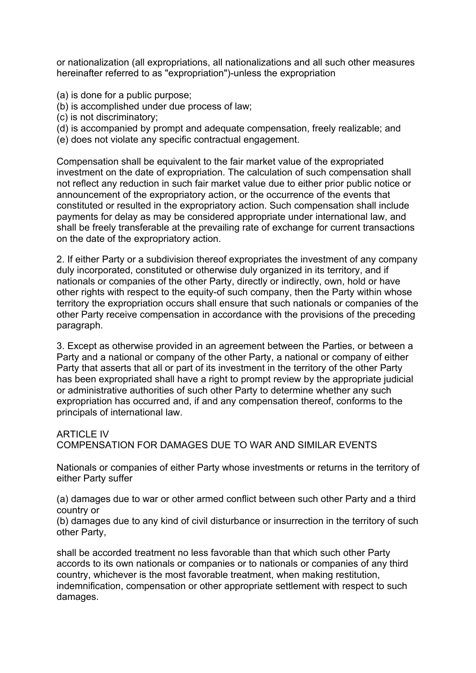or nationalization (all expropriations, all nationalizations and all such other measures hereinafter referred to as "expropriation")-unless the expropriation

- (a) is done for a public purpose;
- (b) is accomplished under due process of law;
- (c) is not discriminatory;
- (d) is accompanied by prompt and adequate compensation, freely realizable; and
- (e) does not violate any specific contractual engagement.

Compensation shall be equivalent to the fair market value of the expropriated investment on the date of expropriation. The calculation of such compensation shall not reflect any reduction in such fair market value due to either prior public notice or announcement of the expropriatory action, or the occurrence of the events that constituted or resulted in the expropriatory action. Such compensation shall include payments for delay as may be considered appropriate under international law, and shall be freely transferable at the prevailing rate of exchange for current transactions on the date of the expropriatory action.

2. If either Party or a subdivision thereof expropriates the investment of any company duly incorporated, constituted or otherwise duly organized in its territory, and if nationals or companies of the other Party, directly or indirectly, own, hold or have other rights with respect to the equity-of such company, then the Party within whose territory the expropriation occurs shall ensure that such nationals or companies of the other Party receive compensation in accordance with the provisions of the preceding paragraph.

3. Except as otherwise provided in an agreement between the Parties, or between a Party and a national or company of the other Party, a national or company of either Party that asserts that all or part of its investment in the territory of the other Party has been expropriated shall have a right to prompt review by the appropriate judicial or administrative authorities of such other Party to determine whether any such expropriation has occurred and, if and any compensation thereof, conforms to the principals of international law.

### **ARTICLE IV**

COMPENSATION FOR DAMAGES DUE TO WAR AND SIMILAR EVENTS

Nationals or companies of either Party whose investments or returns in the territory of either Party suffer

(a) damages due to war or other armed conflict between such other Party and a third country or

(b) damages due to any kind of civil disturbance or insurrection in the territory of such other Party,

shall be accorded treatment no less favorable than that which such other Party accords to its own nationals or companies or to nationals or companies of any third country, whichever is the most favorable treatment, when making restitution, indemnification, compensation or other appropriate settlement with respect to such damages.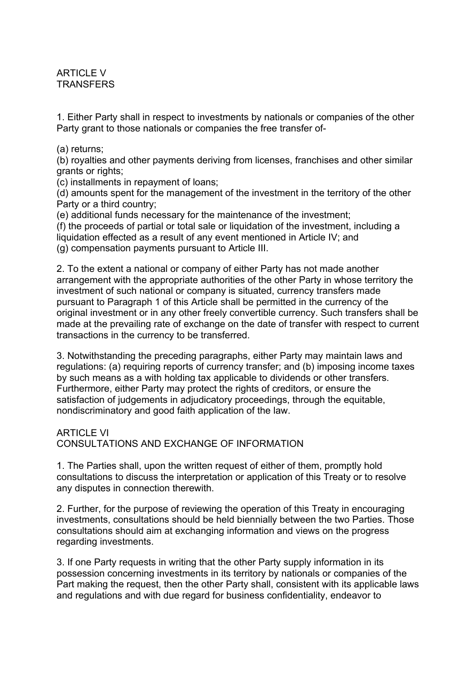ARTICLE V **TRANSFERS** 

1. Either Party shall in respect to investments by nationals or companies of the other Party grant to those nationals or companies the free transfer of-

(a) returns;

(b) royalties and other payments deriving from licenses, franchises and other similar grants or rights:

(c) installments in repayment of loans;

(d) amounts spent for the management of the investment in the territory of the other Party or a third country;

(e) additional funds necessary for the maintenance of the investment;

(f) the proceeds of partial or total sale or liquidation of the investment, including a liquidation effected as a result of any event mentioned in Article IV; and (g) compensation payments pursuant to Article III.

2. To the extent a national or company of either Party has not made another arrangement with the appropriate authorities of the other Party in whose territory the investment of such national or company is situated, currency transfers made pursuant to Paragraph 1 of this Article shall be permitted in the currency of the original investment or in any other freely convertible currency. Such transfers shall be made at the prevailing rate of exchange on the date of transfer with respect to current transactions in the currency to be transferred.

3. Notwithstanding the preceding paragraphs, either Party may maintain laws and regulations: (a) requiring reports of currency transfer; and (b) imposing income taxes by such means as a with holding tax applicable to dividends or other transfers. Furthermore, either Party may protect the rights of creditors, or ensure the satisfaction of judgements in adjudicatory proceedings, through the equitable, nondiscriminatory and good faith application of the law.

ARTICLE VI

CONSULTATIONS AND EXCHANGE OF INFORMATION

1. The Parties shall, upon the written request of either of them, promptly hold consultations to discuss the interpretation or application of this Treaty or to resolve any disputes in connection therewith.

2. Further, for the purpose of reviewing the operation of this Treaty in encouraging investments, consultations should be held biennially between the two Parties. Those consultations should aim at exchanging information and views on the progress regarding investments.

3. If one Party requests in writing that the other Party supply information in its possession concerning investments in its territory by nationals or companies of the Part making the request, then the other Party shall, consistent with its applicable laws and regulations and with due regard for business confidentiality, endeavor to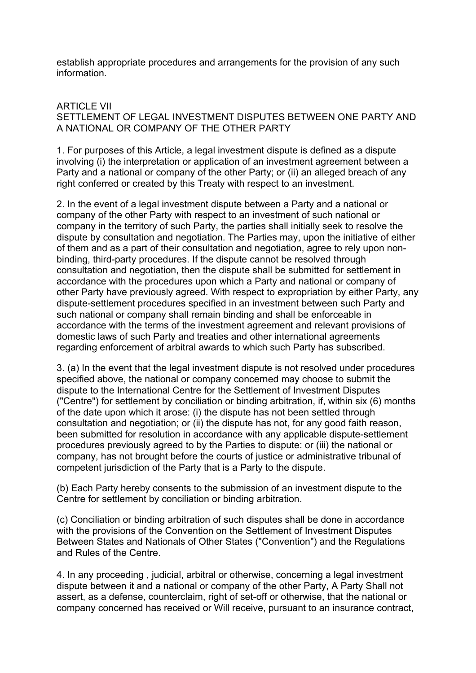establish appropriate procedures and arrangements for the provision of any such information.

# ARTICLE VII SETTLEMENT OF LEGAL INVESTMENT DISPUTES BETWEEN ONE PARTY AND A NATIONAL OR COMPANY OF THE OTHER PARTY

1. For purposes of this Article, a legal investment dispute is defined as a dispute involving (i) the interpretation or application of an investment agreement between a Party and a national or company of the other Party; or (ii) an alleged breach of any right conferred or created by this Treaty with respect to an investment.

2. In the event of a legal investment dispute between a Party and a national or company of the other Party with respect to an investment of such national or company in the territory of such Party, the parties shall initially seek to resolve the dispute by consultation and negotiation. The Parties may, upon the initiative of either of them and as a part of their consultation and negotiation, agree to rely upon nonbinding, third-party procedures. If the dispute cannot be resolved through consultation and negotiation, then the dispute shall be submitted for settlement in accordance with the procedures upon which a Party and national or company of other Party have previously agreed. With respect to expropriation by either Party, any dispute-settlement procedures specified in an investment between such Party and such national or company shall remain binding and shall be enforceable in accordance with the terms of the investment agreement and relevant provisions of domestic laws of such Party and treaties and other international agreements regarding enforcement of arbitral awards to which such Party has subscribed.

3. (a) In the event that the legal investment dispute is not resolved under procedures specified above, the national or company concerned may choose to submit the dispute to the International Centre for the Settlement of Investment Disputes ("Centre") for settlement by conciliation or binding arbitration, if, within six (6) months of the date upon which it arose: (i) the dispute has not been settled through consultation and negotiation; or (ii) the dispute has not, for any good faith reason, been submitted for resolution in accordance with any applicable dispute-settlement procedures previously agreed to by the Parties to dispute: or (iii) the national or company, has not brought before the courts of justice or administrative tribunal of competent jurisdiction of the Party that is a Party to the dispute.

(b) Each Party hereby consents to the submission of an investment dispute to the Centre for settlement by conciliation or binding arbitration.

(c) Conciliation or binding arbitration of such disputes shall be done in accordance with the provisions of the Convention on the Settlement of Investment Disputes Between States and Nationals of Other States ("Convention") and the Regulations and Rules of the Centre.

4. In any proceeding , judicial, arbitral or otherwise, concerning a legal investment dispute between it and a national or company of the other Party, A Party Shall not assert, as a defense, counterclaim, right of set-off or otherwise, that the national or company concerned has received or Will receive, pursuant to an insurance contract,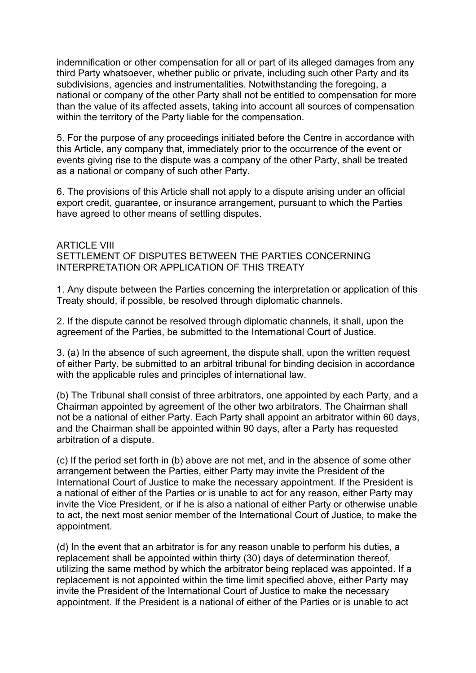indemnification or other compensation for all or part of its alleged damages from any third Party whatsoever, whether public or private, including such other Party and its subdivisions, agencies and instrumentalities. Notwithstanding the foregoing, a national or company of the other Party shall not be entitled to compensation for more than the value of its affected assets, taking into account all sources of compensation within the territory of the Party liable for the compensation.

5. For the purpose of any proceedings initiated before the Centre in accordance with this Article, any company that, immediately prior to the occurrence of the event or events giving rise to the dispute was a company of the other Party, shall be treated as a national or company of such other Party.

6. The provisions of this Article shall not apply to a dispute arising under an official export credit, guarantee, or insurance arrangement, pursuant to which the Parties have agreed to other means of settling disputes.

### **ARTICLE VIII** SETTLEMENT OF DISPUTES BETWEEN THE PARTIES CONCERNING INTERPRETATION OR APPLICATION OF THIS TREATY

1. Any dispute between the Parties concerning the interpretation or application of this Treaty should, if possible, be resolved through diplomatic channels.

2. If the dispute cannot be resolved through diplomatic channels, it shall, upon the agreement of the Parties, be submitted to the International Court of Justice.

3. (a) In the absence of such agreement, the dispute shall, upon the written request of either Party, be submitted to an arbitral tribunal for binding decision in accordance with the applicable rules and principles of international law.

(b) The Tribunal shall consist of three arbitrators, one appointed by each Party, and a Chairman appointed by agreement of the other two arbitrators. The Chairman shall not be a national of either Party. Each Party shall appoint an arbitrator within 60 days, and the Chairman shall be appointed within 90 days, after a Party has requested arbitration of a dispute.

(c) If the period set forth in (b) above are not met, and in the absence of some other arrangement between the Parties, either Party may invite the President of the International Court of Justice to make the necessary appointment. If the President is a national of either of the Parties or is unable to act for any reason, either Party may invite the Vice President, or if he is also a national of either Party or otherwise unable to act, the next most senior member of the International Court of Justice, to make the appointment.

(d) In the event that an arbitrator is for any reason unable to perform his duties, a replacement shall be appointed within thirty (30) days of determination thereof, utilizing the same method by which the arbitrator being replaced was appointed. If a replacement is not appointed within the time limit specified above, either Party may invite the President of the International Court of Justice to make the necessary appointment. If the President is a national of either of the Parties or is unable to act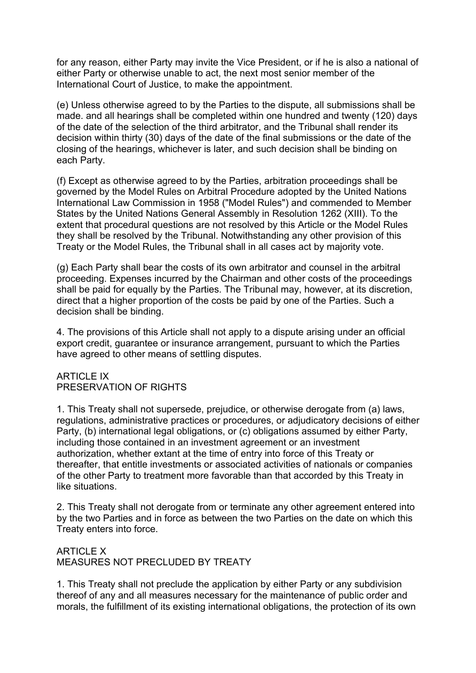for any reason, either Party may invite the Vice President, or if he is also a national of either Party or otherwise unable to act, the next most senior member of the International Court of Justice, to make the appointment.

(e) Unless otherwise agreed to by the Parties to the dispute, all submissions shall be made. and all hearings shall be completed within one hundred and twenty (120) days of the date of the selection of the third arbitrator, and the Tribunal shall render its decision within thirty (30) days of the date of the final submissions or the date of the closing of the hearings, whichever is later, and such decision shall be binding on each Party.

(f) Except as otherwise agreed to by the Parties, arbitration proceedings shall be governed by the Model Rules on Arbitral Procedure adopted by the United Nations International Law Commission in 1958 ("Model Rules") and commended to Member States by the United Nations General Assembly in Resolution 1262 (XIII). To the extent that procedural questions are not resolved by this Article or the Model Rules they shall be resolved by the Tribunal. Notwithstanding any other provision of this Treaty or the Model Rules, the Tribunal shall in all cases act by majority vote.

(g) Each Party shall bear the costs of its own arbitrator and counsel in the arbitral proceeding. Expenses incurred by the Chairman and other costs of the proceedings shall be paid for equally by the Parties. The Tribunal may, however, at its discretion, direct that a higher proportion of the costs be paid by one of the Parties. Such a decision shall be binding.

4. The provisions of this Article shall not apply to a dispute arising under an official export credit, guarantee or insurance arrangement, pursuant to which the Parties have agreed to other means of settling disputes.

ARTICLE IX PRESERVATION OF RIGHTS

1. This Treaty shall not supersede, prejudice, or otherwise derogate from (a) laws, regulations, administrative practices or procedures, or adjudicatory decisions of either Party, (b) international legal obligations, or (c) obligations assumed by either Party, including those contained in an investment agreement or an investment authorization, whether extant at the time of entry into force of this Treaty or thereafter, that entitle investments or associated activities of nationals or companies of the other Party to treatment more favorable than that accorded by this Treaty in like situations.

2. This Treaty shall not derogate from or terminate any other agreement entered into by the two Parties and in force as between the two Parties on the date on which this Treaty enters into force.

ARTICLE X MEASURES NOT PRECLUDED BY TREATY

1. This Treaty shall not preclude the application by either Party or any subdivision thereof of any and all measures necessary for the maintenance of public order and morals, the fulfillment of its existing international obligations, the protection of its own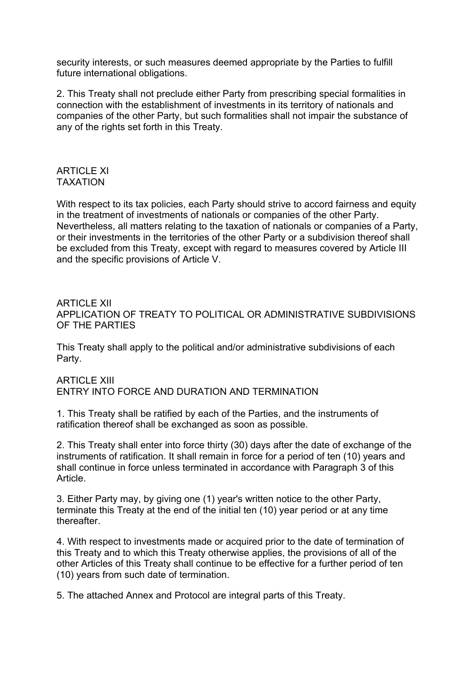security interests, or such measures deemed appropriate by the Parties to fulfill future international obligations.

2. This Treaty shall not preclude either Party from prescribing special formalities in connection with the establishment of investments in its territory of nationals and companies of the other Party, but such formalities shall not impair the substance of any of the rights set forth in this Treaty.

#### ARTICLE XI TAXATION

With respect to its tax policies, each Party should strive to accord fairness and equity in the treatment of investments of nationals or companies of the other Party. Nevertheless, all matters relating to the taxation of nationals or companies of a Party, or their investments in the territories of the other Party or a subdivision thereof shall be excluded from this Treaty, except with regard to measures covered by Article III and the specific provisions of Article V.

# ARTICLE XII APPLICATION OF TREATY TO POLITICAL OR ADMINISTRATIVE SUBDIVISIONS OF THE PARTIES

This Treaty shall apply to the political and/or administrative subdivisions of each Party.

# ARTICLE XIII ENTRY INTO FORCE AND DURATION AND TERMINATION

1. This Treaty shall be ratified by each of the Parties, and the instruments of ratification thereof shall be exchanged as soon as possible.

2. This Treaty shall enter into force thirty (30) days after the date of exchange of the instruments of ratification. It shall remain in force for a period of ten (10) years and shall continue in force unless terminated in accordance with Paragraph 3 of this Article.

3. Either Party may, by giving one (1) year's written notice to the other Party, terminate this Treaty at the end of the initial ten (10) year period or at any time thereafter.

4. With respect to investments made or acquired prior to the date of termination of this Treaty and to which this Treaty otherwise applies, the provisions of all of the other Articles of this Treaty shall continue to be effective for a further period of ten (10) years from such date of termination.

5. The attached Annex and Protocol are integral parts of this Treaty.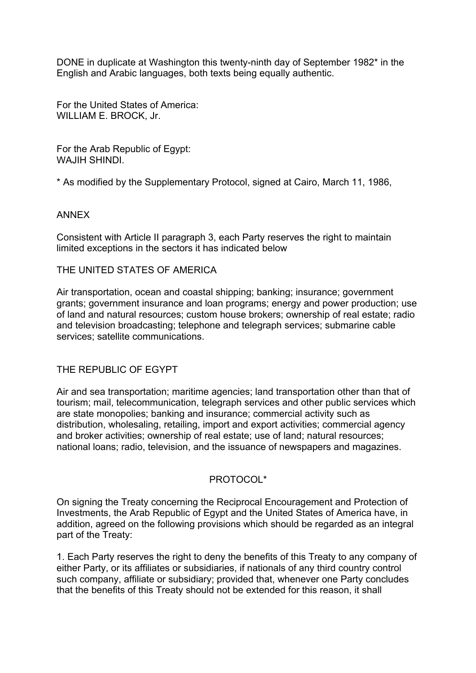DONE in duplicate at Washington this twenty-ninth day of September 1982\* in the English and Arabic languages, both texts being equally authentic.

For the United States of America: WILLIAM E. BROCK, Jr.

For the Arab Republic of Egypt: WAJIH SHINDI.

\* As modified by the Supplementary Protocol, signed at Cairo, March 11, 1986,

### ANNEX

Consistent with Article II paragraph 3, each Party reserves the right to maintain limited exceptions in the sectors it has indicated below

# THE UNITED STATES OF AMERICA

Air transportation, ocean and coastal shipping; banking; insurance; government grants; government insurance and loan programs; energy and power production; use of land and natural resources; custom house brokers; ownership of real estate; radio and television broadcasting; telephone and telegraph services; submarine cable services; satellite communications.

### THE REPUBLIC OF EGYPT

Air and sea transportation; maritime agencies; land transportation other than that of tourism; mail, telecommunication, telegraph services and other public services which are state monopolies; banking and insurance; commercial activity such as distribution, wholesaling, retailing, import and export activities; commercial agency and broker activities; ownership of real estate; use of land; natural resources; national loans; radio, television, and the issuance of newspapers and magazines.

# PROTOCOL\*

On signing the Treaty concerning the Reciprocal Encouragement and Protection of Investments, the Arab Republic of Egypt and the United States of America have, in addition, agreed on the following provisions which should be regarded as an integral part of the Treaty:

1. Each Party reserves the right to deny the benefits of this Treaty to any company of either Party, or its affiliates or subsidiaries, if nationals of any third country control such company, affiliate or subsidiary; provided that, whenever one Party concludes that the benefits of this Treaty should not be extended for this reason, it shall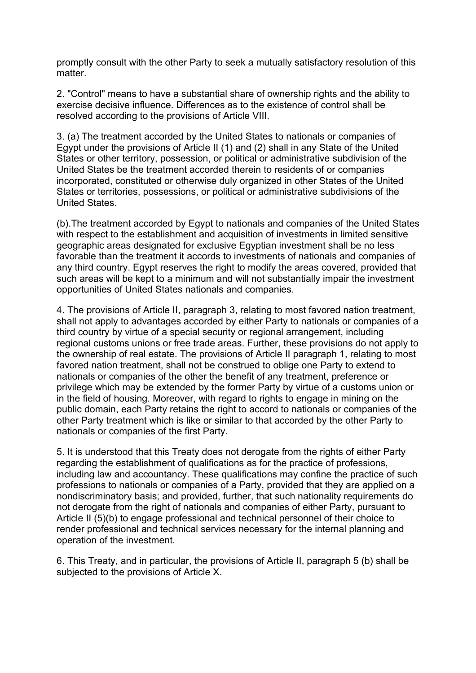promptly consult with the other Party to seek a mutually satisfactory resolution of this matter.

2. "Control" means to have a substantial share of ownership rights and the ability to exercise decisive influence. Differences as to the existence of control shall be resolved according to the provisions of Article VIII.

3. (a) The treatment accorded by the United States to nationals or companies of Egypt under the provisions of Article II (1) and (2) shall in any State of the United States or other territory, possession, or political or administrative subdivision of the United States be the treatment accorded therein to residents of or companies incorporated, constituted or otherwise duly organized in other States of the United States or territories, possessions, or political or administrative subdivisions of the United States.

(b).The treatment accorded by Egypt to nationals and companies of the United States with respect to the establishment and acquisition of investments in limited sensitive geographic areas designated for exclusive Egyptian investment shall be no less favorable than the treatment it accords to investments of nationals and companies of any third country. Egypt reserves the right to modify the areas covered, provided that such areas will be kept to a minimum and will not substantially impair the investment opportunities of United States nationals and companies.

4. The provisions of Article II, paragraph 3, relating to most favored nation treatment, shall not apply to advantages accorded by either Party to nationals or companies of a third country by virtue of a special security or regional arrangement, including regional customs unions or free trade areas. Further, these provisions do not apply to the ownership of real estate. The provisions of Article II paragraph 1, relating to most favored nation treatment, shall not be construed to oblige one Party to extend to nationals or companies of the other the benefit of any treatment, preference or privilege which may be extended by the former Party by virtue of a customs union or in the field of housing. Moreover, with regard to rights to engage in mining on the public domain, each Party retains the right to accord to nationals or companies of the other Party treatment which is like or similar to that accorded by the other Party to nationals or companies of the first Party.

5. It is understood that this Treaty does not derogate from the rights of either Party regarding the establishment of qualifications as for the practice of professions, including law and accountancy. These qualifications may confine the practice of such professions to nationals or companies of a Party, provided that they are applied on a nondiscriminatory basis; and provided, further, that such nationality requirements do not derogate from the right of nationals and companies of either Party, pursuant to Article II (5)(b) to engage professional and technical personnel of their choice to render professional and technical services necessary for the internal planning and operation of the investment.

6. This Treaty, and in particular, the provisions of Article II, paragraph 5 (b) shall be subjected to the provisions of Article X.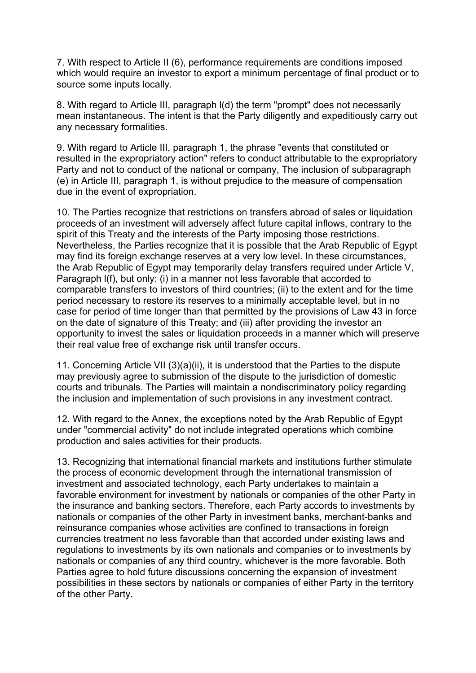7. With respect to Article II (6), performance requirements are conditions imposed which would require an investor to export a minimum percentage of final product or to source some inputs locally.

8. With regard to Article III, paragraph l(d) the term "prompt" does not necessarily mean instantaneous. The intent is that the Party diligently and expeditiously carry out any necessary formalities.

9. With regard to Article III, paragraph 1, the phrase "events that constituted or resulted in the expropriatory action" refers to conduct attributable to the expropriatory Party and not to conduct of the national or company, The inclusion of subparagraph (e) in Article III, paragraph 1, is without prejudice to the measure of compensation due in the event of expropriation.

10. The Parties recognize that restrictions on transfers abroad of sales or liquidation proceeds of an investment will adversely affect future capital inflows, contrary to the spirit of this Treaty and the interests of the Party imposing those restrictions. Nevertheless, the Parties recognize that it is possible that the Arab Republic of Egypt may find its foreign exchange reserves at a very low level. In these circumstances, the Arab Republic of Egypt may temporarily delay transfers required under Article V, Paragraph l(f), but only: (i) in a manner not less favorable that accorded to comparable transfers to investors of third countries; (ii) to the extent and for the time period necessary to restore its reserves to a minimally acceptable level, but in no case for period of time longer than that permitted by the provisions of Law 43 in force on the date of signature of this Treaty; and (iii) after providing the investor an opportunity to invest the sales or liquidation proceeds in a manner which will preserve their real value free of exchange risk until transfer occurs.

11. Concerning Article VII (3)(a)(ii), it is understood that the Parties to the dispute may previously agree to submission of the dispute to the jurisdiction of domestic courts and tribunals. The Parties will maintain a nondiscriminatory policy regarding the inclusion and implementation of such provisions in any investment contract.

12. With regard to the Annex, the exceptions noted by the Arab Republic of Egypt under "commercial activity" do not include integrated operations which combine production and sales activities for their products.

13. Recognizing that international financial markets and institutions further stimulate the process of economic development through the international transmission of investment and associated technology, each Party undertakes to maintain a favorable environment for investment by nationals or companies of the other Party in the insurance and banking sectors. Therefore, each Party accords to investments by nationals or companies of the other Party in investment banks, merchant-banks and reinsurance companies whose activities are confined to transactions in foreign currencies treatment no less favorable than that accorded under existing laws and regulations to investments by its own nationals and companies or to investments by nationals or companies of any third country, whichever is the more favorable. Both Parties agree to hold future discussions concerning the expansion of investment possibilities in these sectors by nationals or companies of either Party in the territory of the other Party.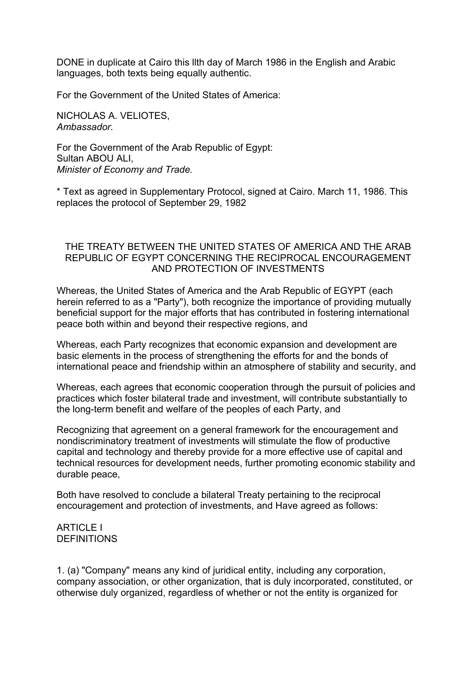DONE in duplicate at Cairo this llth day of March 1986 in the English and Arabic languages, both texts being equally authentic.

For the Government of the United States of America:

NICHOLAS A. VELIOTES, *Ambassador.*

For the Government of the Arab Republic of Egypt: Sultan ABOU ALI, *Minister of Economy and Trade.* 

\* Text as agreed in Supplementary Protocol, signed at Cairo. March 11, 1986. This replaces the protocol of September 29, 1982

## THE TREATY BETWEEN THE UNITED STATES OF AMERICA AND THE ARAB REPUBLIC OF EGYPT CONCERNING THE RECIPROCAL ENCOURAGEMENT AND PROTECTION OF INVESTMENTS

Whereas, the United States of America and the Arab Republic of EGYPT (each herein referred to as a "Party"), both recognize the importance of providing mutually beneficial support for the major efforts that has contributed in fostering international peace both within and beyond their respective regions, and

Whereas, each Party recognizes that economic expansion and development are basic elements in the process of strengthening the efforts for and the bonds of international peace and friendship within an atmosphere of stability and security, and

Whereas, each agrees that economic cooperation through the pursuit of policies and practices which foster bilateral trade and investment, will contribute substantially to the long-term benefit and welfare of the peoples of each Party, and

Recognizing that agreement on a general framework for the encouragement and nondiscriminatory treatment of investments will stimulate the flow of productive capital and technology and thereby provide for a more effective use of capital and technical resources for development needs, further promoting economic stability and durable peace,

Both have resolved to conclude a bilateral Treaty pertaining to the reciprocal encouragement and protection of investments, and Have agreed as follows:

#### **ARTICLE I** DEFINITIONS

1. (a) "Company" means any kind of juridical entity, including any corporation, company association, or other organization, that is duly incorporated, constituted, or otherwise duly organized, regardless of whether or not the entity is organized for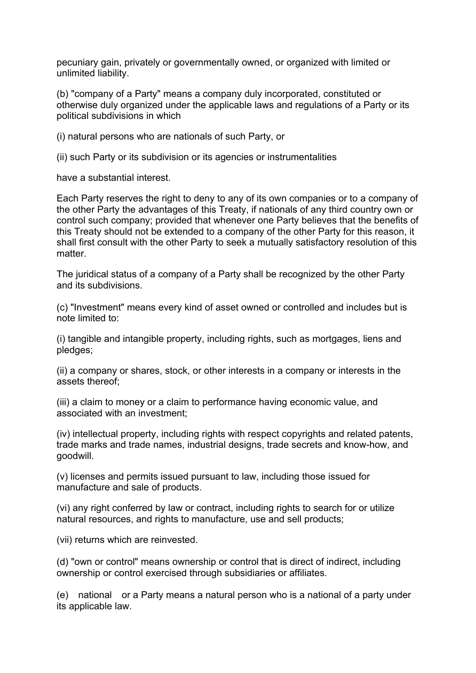pecuniary gain, privately or governmentally owned, or organized with limited or unlimited liability.

(b) "company of a Party" means a company duly incorporated, constituted or otherwise duly organized under the applicable laws and regulations of a Party or its political subdivisions in which

(i) natural persons who are nationals of such Party, or

(ii) such Party or its subdivision or its agencies or instrumentalities

have a substantial interest.

Each Party reserves the right to deny to any of its own companies or to a company of the other Party the advantages of this Treaty, if nationals of any third country own or control such company; provided that whenever one Party believes that the benefits of this Treaty should not be extended to a company of the other Party for this reason, it shall first consult with the other Party to seek a mutually satisfactory resolution of this matter.

The juridical status of a company of a Party shall be recognized by the other Party and its subdivisions.

(c) "Investment" means every kind of asset owned or controlled and includes but is note limited to:

(i) tangible and intangible property, including rights, such as mortgages, liens and pledges;

(ii) a company or shares, stock, or other interests in a company or interests in the assets thereof;

(iii) a claim to money or a claim to performance having economic value, and associated with an investment;

(iv) intellectual property, including rights with respect copyrights and related patents, trade marks and trade names, industrial designs, trade secrets and know-how, and goodwill.

(v) licenses and permits issued pursuant to law, including those issued for manufacture and sale of products.

(vi) any right conferred by law or contract, including rights to search for or utilize natural resources, and rights to manufacture, use and sell products;

(vii) returns which are reinvested.

(d) "own or control" means ownership or control that is direct of indirect, including ownership or control exercised through subsidiaries or affiliates.

(e) national or a Party means a natural person who is a national of a party under its applicable law.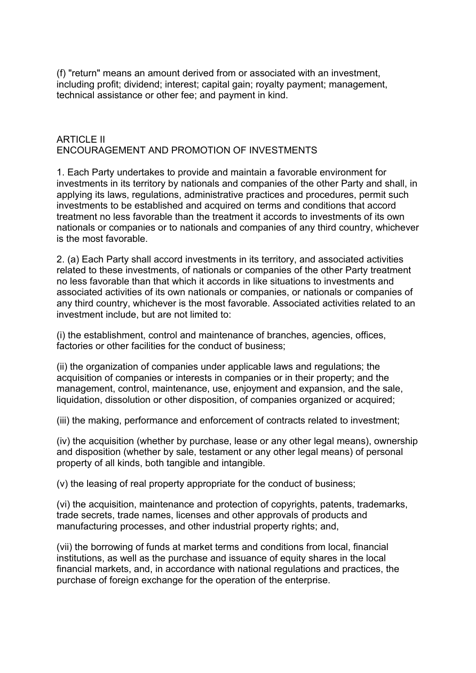(f) "return" means an amount derived from or associated with an investment, including profit; dividend; interest; capital gain; royalty payment; management, technical assistance or other fee; and payment in kind.

#### **ARTICLE II** ENCOURAGEMENT AND PROMOTION OF INVESTMENTS

1. Each Party undertakes to provide and maintain a favorable environment for investments in its territory by nationals and companies of the other Party and shall, in applying its laws, regulations, administrative practices and procedures, permit such investments to be established and acquired on terms and conditions that accord treatment no less favorable than the treatment it accords to investments of its own nationals or companies or to nationals and companies of any third country, whichever is the most favorable.

2. (a) Each Party shall accord investments in its territory, and associated activities related to these investments, of nationals or companies of the other Party treatment no less favorable than that which it accords in like situations to investments and associated activities of its own nationals or companies, or nationals or companies of any third country, whichever is the most favorable. Associated activities related to an investment include, but are not limited to:

(i) the establishment, control and maintenance of branches, agencies, offices, factories or other facilities for the conduct of business;

(ii) the organization of companies under applicable laws and regulations; the acquisition of companies or interests in companies or in their property; and the management, control, maintenance, use, enjoyment and expansion, and the sale, liquidation, dissolution or other disposition, of companies organized or acquired;

(iii) the making, performance and enforcement of contracts related to investment;

(iv) the acquisition (whether by purchase, lease or any other legal means), ownership and disposition (whether by sale, testament or any other legal means) of personal property of all kinds, both tangible and intangible.

(v) the leasing of real property appropriate for the conduct of business;

(vi) the acquisition, maintenance and protection of copyrights, patents, trademarks, trade secrets, trade names, licenses and other approvals of products and manufacturing processes, and other industrial property rights; and,

(vii) the borrowing of funds at market terms and conditions from local, financial institutions, as well as the purchase and issuance of equity shares in the local financial markets, and, in accordance with national regulations and practices, the purchase of foreign exchange for the operation of the enterprise.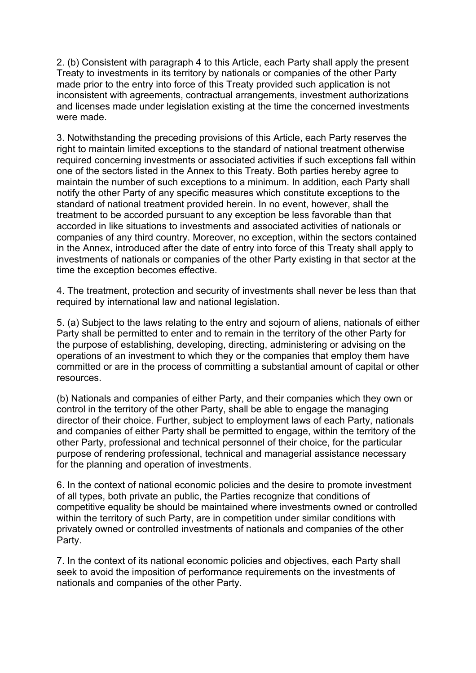2. (b) Consistent with paragraph 4 to this Article, each Party shall apply the present Treaty to investments in its territory by nationals or companies of the other Party made prior to the entry into force of this Treaty provided such application is not inconsistent with agreements, contractual arrangements, investment authorizations and licenses made under legislation existing at the time the concerned investments were made.

3. Notwithstanding the preceding provisions of this Article, each Party reserves the right to maintain limited exceptions to the standard of national treatment otherwise required concerning investments or associated activities if such exceptions fall within one of the sectors listed in the Annex to this Treaty. Both parties hereby agree to maintain the number of such exceptions to a minimum. In addition, each Party shall notify the other Party of any specific measures which constitute exceptions to the standard of national treatment provided herein. In no event, however, shall the treatment to be accorded pursuant to any exception be less favorable than that accorded in like situations to investments and associated activities of nationals or companies of any third country. Moreover, no exception, within the sectors contained in the Annex, introduced after the date of entry into force of this Treaty shall apply to investments of nationals or companies of the other Party existing in that sector at the time the exception becomes effective.

4. The treatment, protection and security of investments shall never be less than that required by international law and national legislation.

5. (a) Subject to the laws relating to the entry and sojourn of aliens, nationals of either Party shall be permitted to enter and to remain in the territory of the other Party for the purpose of establishing, developing, directing, administering or advising on the operations of an investment to which they or the companies that employ them have committed or are in the process of committing a substantial amount of capital or other resources.

(b) Nationals and companies of either Party, and their companies which they own or control in the territory of the other Party, shall be able to engage the managing director of their choice. Further, subject to employment laws of each Party, nationals and companies of either Party shall be permitted to engage, within the territory of the other Party, professional and technical personnel of their choice, for the particular purpose of rendering professional, technical and managerial assistance necessary for the planning and operation of investments.

6. In the context of national economic policies and the desire to promote investment of all types, both private an public, the Parties recognize that conditions of competitive equality be should be maintained where investments owned or controlled within the territory of such Party, are in competition under similar conditions with privately owned or controlled investments of nationals and companies of the other Party.

7. In the context of its national economic policies and objectives, each Party shall seek to avoid the imposition of performance requirements on the investments of nationals and companies of the other Party.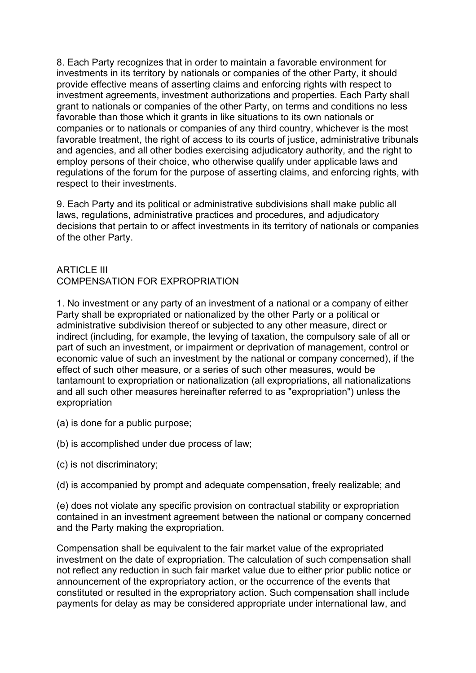8. Each Party recognizes that in order to maintain a favorable environment for investments in its territory by nationals or companies of the other Party, it should provide effective means of asserting claims and enforcing rights with respect to investment agreements, investment authorizations and properties. Each Party shall grant to nationals or companies of the other Party, on terms and conditions no less favorable than those which it grants in like situations to its own nationals or companies or to nationals or companies of any third country, whichever is the most favorable treatment, the right of access to its courts of justice, administrative tribunals and agencies, and all other bodies exercising adjudicatory authority, and the right to employ persons of their choice, who otherwise qualify under applicable laws and regulations of the forum for the purpose of asserting claims, and enforcing rights, with respect to their investments.

9. Each Party and its political or administrative subdivisions shall make public all laws, regulations, administrative practices and procedures, and adjudicatory decisions that pertain to or affect investments in its territory of nationals or companies of the other Party.

### ARTICLE III COMPENSATION FOR EXPROPRIATION

1. No investment or any party of an investment of a national or a company of either Party shall be expropriated or nationalized by the other Party or a political or administrative subdivision thereof or subjected to any other measure, direct or indirect (including, for example, the levying of taxation, the compulsory sale of all or part of such an investment, or impairment or deprivation of management, control or economic value of such an investment by the national or company concerned), if the effect of such other measure, or a series of such other measures, would be tantamount to expropriation or nationalization (all expropriations, all nationalizations and all such other measures hereinafter referred to as "expropriation") unless the expropriation

- (a) is done for a public purpose;
- (b) is accomplished under due process of law;
- (c) is not discriminatory;
- (d) is accompanied by prompt and adequate compensation, freely realizable; and

(e) does not violate any specific provision on contractual stability or expropriation contained in an investment agreement between the national or company concerned and the Party making the expropriation.

Compensation shall be equivalent to the fair market value of the expropriated investment on the date of expropriation. The calculation of such compensation shall not reflect any reduction in such fair market value due to either prior public notice or announcement of the expropriatory action, or the occurrence of the events that constituted or resulted in the expropriatory action. Such compensation shall include payments for delay as may be considered appropriate under international law, and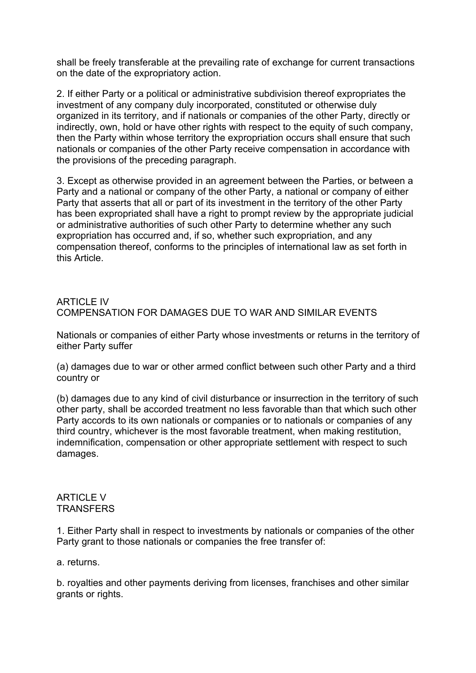shall be freely transferable at the prevailing rate of exchange for current transactions on the date of the expropriatory action.

2. If either Party or a political or administrative subdivision thereof expropriates the investment of any company duly incorporated, constituted or otherwise duly organized in its territory, and if nationals or companies of the other Party, directly or indirectly, own, hold or have other rights with respect to the equity of such company, then the Party within whose territory the expropriation occurs shall ensure that such nationals or companies of the other Party receive compensation in accordance with the provisions of the preceding paragraph.

3. Except as otherwise provided in an agreement between the Parties, or between a Party and a national or company of the other Party, a national or company of either Party that asserts that all or part of its investment in the territory of the other Party has been expropriated shall have a right to prompt review by the appropriate judicial or administrative authorities of such other Party to determine whether any such expropriation has occurred and, if so, whether such expropriation, and any compensation thereof, conforms to the principles of international law as set forth in this Article.

# ARTICLE IV COMPENSATION FOR DAMAGES DUE TO WAR AND SIMILAR EVENTS

Nationals or companies of either Party whose investments or returns in the territory of either Party suffer

(a) damages due to war or other armed conflict between such other Party and a third country or

(b) damages due to any kind of civil disturbance or insurrection in the territory of such other party, shall be accorded treatment no less favorable than that which such other Party accords to its own nationals or companies or to nationals or companies of any third country, whichever is the most favorable treatment, when making restitution, indemnification, compensation or other appropriate settlement with respect to such damages.

### **ARTICLE V TRANSFERS**

1. Either Party shall in respect to investments by nationals or companies of the other Party grant to those nationals or companies the free transfer of:

### a. returns.

b. royalties and other payments deriving from licenses, franchises and other similar grants or rights.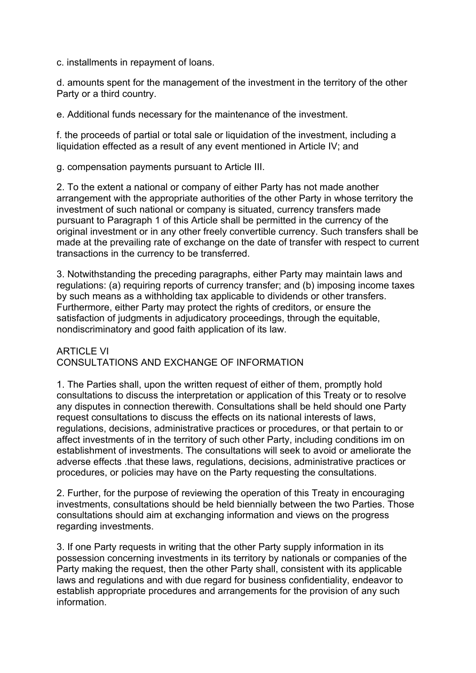c. installments in repayment of loans.

d. amounts spent for the management of the investment in the territory of the other Party or a third country.

e. Additional funds necessary for the maintenance of the investment.

f. the proceeds of partial or total sale or liquidation of the investment, including a liquidation effected as a result of any event mentioned in Article IV; and

g. compensation payments pursuant to Article III.

2. To the extent a national or company of either Party has not made another arrangement with the appropriate authorities of the other Party in whose territory the investment of such national or company is situated, currency transfers made pursuant to Paragraph 1 of this Article shall be permitted in the currency of the original investment or in any other freely convertible currency. Such transfers shall be made at the prevailing rate of exchange on the date of transfer with respect to current transactions in the currency to be transferred.

3. Notwithstanding the preceding paragraphs, either Party may maintain laws and regulations: (a) requiring reports of currency transfer; and (b) imposing income taxes by such means as a withholding tax applicable to dividends or other transfers. Furthermore, either Party may protect the rights of creditors, or ensure the satisfaction of judgments in adjudicatory proceedings, through the equitable, nondiscriminatory and good faith application of its law.

### ARTICLE VI CONSULTATIONS AND EXCHANGE OF INFORMATION

1. The Parties shall, upon the written request of either of them, promptly hold consultations to discuss the interpretation or application of this Treaty or to resolve any disputes in connection therewith. Consultations shall be held should one Party request consultations to discuss the effects on its national interests of laws, regulations, decisions, administrative practices or procedures, or that pertain to or affect investments of in the territory of such other Party, including conditions im on establishment of investments. The consultations will seek to avoid or ameliorate the adverse effects .that these laws, regulations, decisions, administrative practices or procedures, or policies may have on the Party requesting the consultations.

2. Further, for the purpose of reviewing the operation of this Treaty in encouraging investments, consultations should be held biennially between the two Parties. Those consultations should aim at exchanging information and views on the progress regarding investments.

3. If one Party requests in writing that the other Party supply information in its possession concerning investments in its territory by nationals or companies of the Party making the request, then the other Party shall, consistent with its applicable laws and regulations and with due regard for business confidentiality, endeavor to establish appropriate procedures and arrangements for the provision of any such information.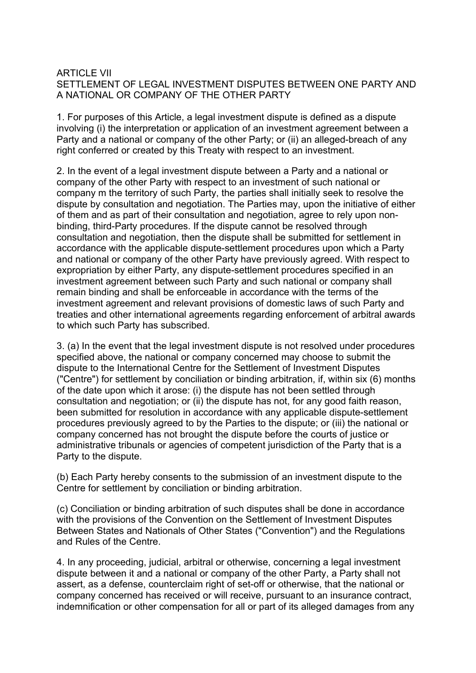### ARTICLE VII SETTLEMENT OF LEGAL INVESTMENT DISPUTES BETWEEN ONE PARTY AND A NATIONAL OR COMPANY OF THE OTHER PARTY

1. For purposes of this Article, a legal investment dispute is defined as a dispute involving (i) the interpretation or application of an investment agreement between a Party and a national or company of the other Party; or (ii) an alleged-breach of any right conferred or created by this Treaty with respect to an investment.

2. In the event of a legal investment dispute between a Party and a national or company of the other Party with respect to an investment of such national or company m the territory of such Party, the parties shall initially seek to resolve the dispute by consultation and negotiation. The Parties may, upon the initiative of either of them and as part of their consultation and negotiation, agree to rely upon nonbinding, third-Party procedures. If the dispute cannot be resolved through consultation and negotiation, then the dispute shall be submitted for settlement in accordance with the applicable dispute-settlement procedures upon which a Party and national or company of the other Party have previously agreed. With respect to expropriation by either Party, any dispute-settlement procedures specified in an investment agreement between such Party and such national or company shall remain binding and shall be enforceable in accordance with the terms of the investment agreement and relevant provisions of domestic laws of such Party and treaties and other international agreements regarding enforcement of arbitral awards to which such Party has subscribed.

3. (a) In the event that the legal investment dispute is not resolved under procedures specified above, the national or company concerned may choose to submit the dispute to the International Centre for the Settlement of Investment Disputes ("Centre") for settlement by conciliation or binding arbitration, if, within six (6) months of the date upon which it arose: (i) the dispute has not been settled through consultation and negotiation; or (ii) the dispute has not, for any good faith reason, been submitted for resolution in accordance with any applicable dispute-settlement procedures previously agreed to by the Parties to the dispute; or (iii) the national or company concerned has not brought the dispute before the courts of justice or administrative tribunals or agencies of competent jurisdiction of the Party that is a Party to the dispute.

(b) Each Party hereby consents to the submission of an investment dispute to the Centre for settlement by conciliation or binding arbitration.

(c) Conciliation or binding arbitration of such disputes shall be done in accordance with the provisions of the Convention on the Settlement of Investment Disputes Between States and Nationals of Other States ("Convention") and the Regulations and Rules of the Centre.

4. In any proceeding, judicial, arbitral or otherwise, concerning a legal investment dispute between it and a national or company of the other Party, a Party shall not assert, as a defense, counterclaim right of set-off or otherwise, that the national or company concerned has received or will receive, pursuant to an insurance contract, indemnification or other compensation for all or part of its alleged damages from any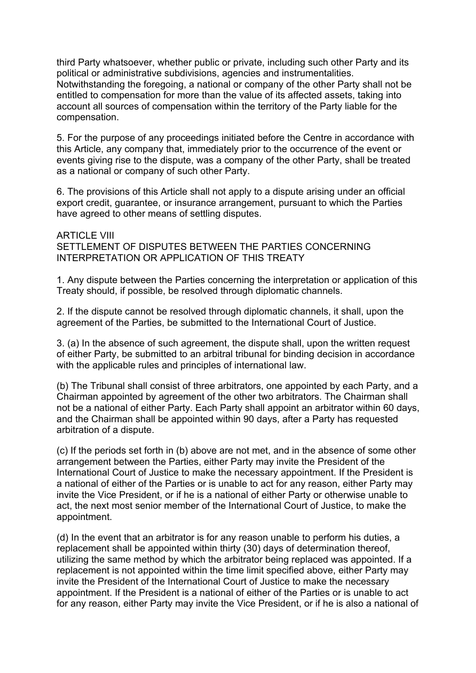third Party whatsoever, whether public or private, including such other Party and its political or administrative subdivisions, agencies and instrumentalities. Notwithstanding the foregoing, a national or company of the other Party shall not be entitled to compensation for more than the value of its affected assets, taking into account all sources of compensation within the territory of the Party liable for the compensation.

5. For the purpose of any proceedings initiated before the Centre in accordance with this Article, any company that, immediately prior to the occurrence of the event or events giving rise to the dispute, was a company of the other Party, shall be treated as a national or company of such other Party.

6. The provisions of this Article shall not apply to a dispute arising under an official export credit, guarantee, or insurance arrangement, pursuant to which the Parties have agreed to other means of settling disputes.

**ARTICLE VIII** SETTLEMENT OF DISPUTES BETWEEN THE PARTIES CONCERNING INTERPRETATION OR APPLICATION OF THIS TREATY

1. Any dispute between the Parties concerning the interpretation or application of this Treaty should, if possible, be resolved through diplomatic channels.

2. If the dispute cannot be resolved through diplomatic channels, it shall, upon the agreement of the Parties, be submitted to the International Court of Justice.

3. (a) In the absence of such agreement, the dispute shall, upon the written request of either Party, be submitted to an arbitral tribunal for binding decision in accordance with the applicable rules and principles of international law.

(b) The Tribunal shall consist of three arbitrators, one appointed by each Party, and a Chairman appointed by agreement of the other two arbitrators. The Chairman shall not be a national of either Party. Each Party shall appoint an arbitrator within 60 days, and the Chairman shall be appointed within 90 days, after a Party has requested arbitration of a dispute.

(c) If the periods set forth in (b) above are not met, and in the absence of some other arrangement between the Parties, either Party may invite the President of the International Court of Justice to make the necessary appointment. If the President is a national of either of the Parties or is unable to act for any reason, either Party may invite the Vice President, or if he is a national of either Party or otherwise unable to act, the next most senior member of the International Court of Justice, to make the appointment.

(d) In the event that an arbitrator is for any reason unable to perform his duties, a replacement shall be appointed within thirty (30) days of determination thereof, utilizing the same method by which the arbitrator being replaced was appointed. If a replacement is not appointed within the time limit specified above, either Party may invite the President of the International Court of Justice to make the necessary appointment. If the President is a national of either of the Parties or is unable to act for any reason, either Party may invite the Vice President, or if he is also a national of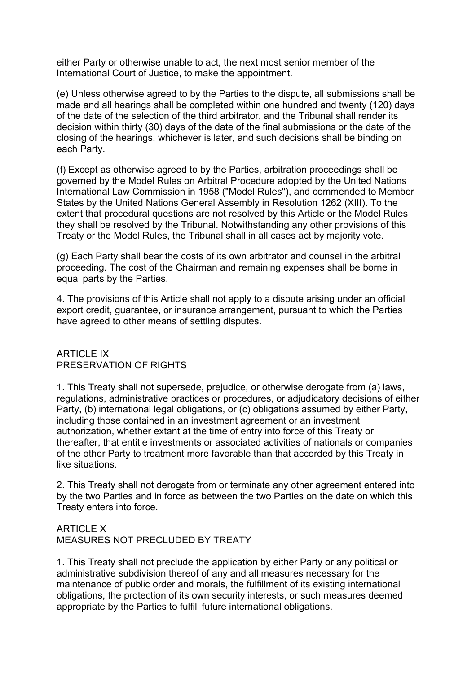either Party or otherwise unable to act, the next most senior member of the International Court of Justice, to make the appointment.

(e) Unless otherwise agreed to by the Parties to the dispute, all submissions shall be made and all hearings shall be completed within one hundred and twenty (120) days of the date of the selection of the third arbitrator, and the Tribunal shall render its decision within thirty (30) days of the date of the final submissions or the date of the closing of the hearings, whichever is later, and such decisions shall be binding on each Party.

(f) Except as otherwise agreed to by the Parties, arbitration proceedings shall be governed by the Model Rules on Arbitral Procedure adopted by the United Nations International Law Commission in 1958 ("Model Rules"), and commended to Member States by the United Nations General Assembly in Resolution 1262 (XIII). To the extent that procedural questions are not resolved by this Article or the Model Rules they shall be resolved by the Tribunal. Notwithstanding any other provisions of this Treaty or the Model Rules, the Tribunal shall in all cases act by majority vote.

(g) Each Party shall bear the costs of its own arbitrator and counsel in the arbitral proceeding. The cost of the Chairman and remaining expenses shall be borne in equal parts by the Parties.

4. The provisions of this Article shall not apply to a dispute arising under an official export credit, guarantee, or insurance arrangement, pursuant to which the Parties have agreed to other means of settling disputes.

ARTICLE IX PRESERVATION OF RIGHTS

1. This Treaty shall not supersede, prejudice, or otherwise derogate from (a) laws, regulations, administrative practices or procedures, or adjudicatory decisions of either Party, (b) international legal obligations, or (c) obligations assumed by either Party, including those contained in an investment agreement or an investment authorization, whether extant at the time of entry into force of this Treaty or thereafter, that entitle investments or associated activities of nationals or companies of the other Party to treatment more favorable than that accorded by this Treaty in like situations.

2. This Treaty shall not derogate from or terminate any other agreement entered into by the two Parties and in force as between the two Parties on the date on which this Treaty enters into force.

### ARTICLE X MEASURES NOT PRECLUDED BY TREATY

1. This Treaty shall not preclude the application by either Party or any political or administrative subdivision thereof of any and all measures necessary for the maintenance of public order and morals, the fulfillment of its existing international obligations, the protection of its own security interests, or such measures deemed appropriate by the Parties to fulfill future international obligations.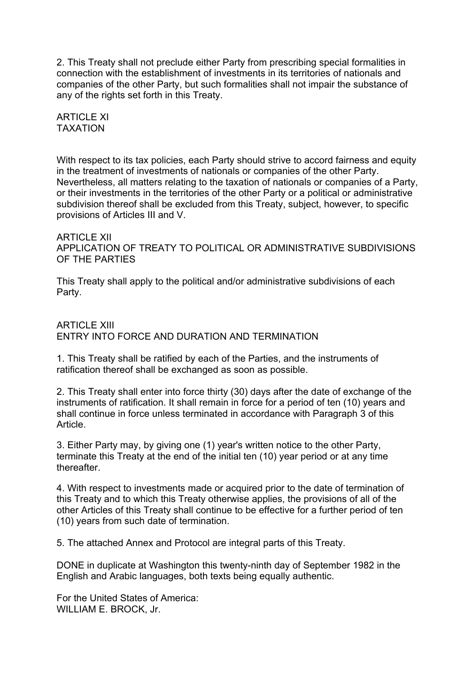2. This Treaty shall not preclude either Party from prescribing special formalities in connection with the establishment of investments in its territories of nationals and companies of the other Party, but such formalities shall not impair the substance of any of the rights set forth in this Treaty.

**ARTICLE XI** TAXATION

With respect to its tax policies, each Party should strive to accord fairness and equity in the treatment of investments of nationals or companies of the other Party. Nevertheless, all matters relating to the taxation of nationals or companies of a Party, or their investments in the territories of the other Party or a political or administrative subdivision thereof shall be excluded from this Treaty, subject, however, to specific provisions of Articles III and V.

ARTICLE XII APPLICATION OF TREATY TO POLITICAL OR ADMINISTRATIVE SUBDIVISIONS OF THE PARTIES

This Treaty shall apply to the political and/or administrative subdivisions of each Party.

ARTICLE XIII ENTRY INTO FORCE AND DURATION AND TERMINATION

1. This Treaty shall be ratified by each of the Parties, and the instruments of ratification thereof shall be exchanged as soon as possible.

2. This Treaty shall enter into force thirty (30) days after the date of exchange of the instruments of ratification. It shall remain in force for a period of ten (10) years and shall continue in force unless terminated in accordance with Paragraph 3 of this Article.

3. Either Party may, by giving one (1) year's written notice to the other Party, terminate this Treaty at the end of the initial ten (10) year period or at any time thereafter.

4. With respect to investments made or acquired prior to the date of termination of this Treaty and to which this Treaty otherwise applies, the provisions of all of the other Articles of this Treaty shall continue to be effective for a further period of ten (10) years from such date of termination.

5. The attached Annex and Protocol are integral parts of this Treaty.

DONE in duplicate at Washington this twenty-ninth day of September 1982 in the English and Arabic languages, both texts being equally authentic.

For the United States of America: WILLIAM E. BROCK, Jr.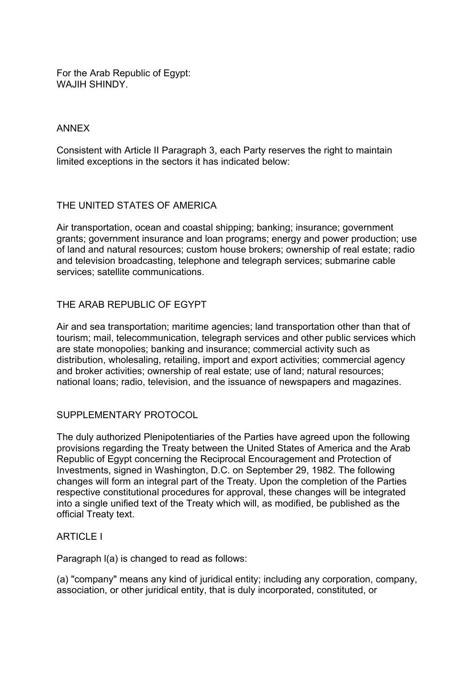For the Arab Republic of Egypt: WAJIH SHINDY.

#### ANNEX

Consistent with Article II Paragraph 3, each Party reserves the right to maintain limited exceptions in the sectors it has indicated below:

# THE UNITED STATES OF AMERICA

Air transportation, ocean and coastal shipping; banking; insurance; government grants; government insurance and loan programs; energy and power production; use of land and natural resources; custom house brokers; ownership of real estate; radio and television broadcasting, telephone and telegraph services; submarine cable services; satellite communications.

# THE ARAB REPUBLIC OF EGYPT

Air and sea transportation; maritime agencies; land transportation other than that of tourism; mail, telecommunication, telegraph services and other public services which are state monopolies; banking and insurance; commercial activity such as distribution, wholesaling, retailing, import and export activities; commercial agency and broker activities; ownership of real estate; use of land; natural resources; national loans; radio, television, and the issuance of newspapers and magazines.

### SUPPLEMENTARY PROTOCOL

The duly authorized Plenipotentiaries of the Parties have agreed upon the following provisions regarding the Treaty between the United States of America and the Arab Republic of Egypt concerning the Reciprocal Encouragement and Protection of Investments, signed in Washington, D.C. on September 29, 1982. The following changes will form an integral part of the Treaty. Upon the completion of the Parties respective constitutional procedures for approval, these changes will be integrated into a single unified text of the Treaty which will, as modified, be published as the official Treaty text.

#### ARTICLE I

Paragraph l(a) is changed to read as follows:

(a) "company" means any kind of juridical entity; including any corporation, company, association, or other juridical entity, that is duly incorporated, constituted, or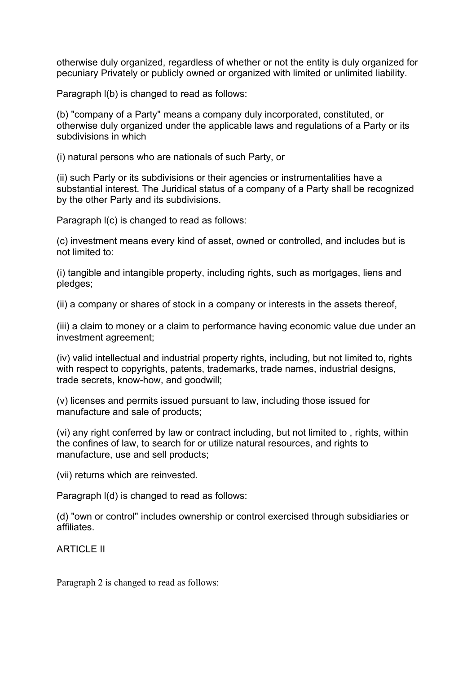otherwise duly organized, regardless of whether or not the entity is duly organized for pecuniary Privately or publicly owned or organized with limited or unlimited liability.

Paragraph l(b) is changed to read as follows:

(b) "company of a Party" means a company duly incorporated, constituted, or otherwise duly organized under the applicable laws and regulations of a Party or its subdivisions in which

(i) natural persons who are nationals of such Party, or

(ii) such Party or its subdivisions or their agencies or instrumentalities have a substantial interest. The Juridical status of a company of a Party shall be recognized by the other Party and its subdivisions.

Paragraph l(c) is changed to read as follows:

(c) investment means every kind of asset, owned or controlled, and includes but is not limited to:

(i) tangible and intangible property, including rights, such as mortgages, liens and pledges;

(ii) a company or shares of stock in a company or interests in the assets thereof,

(iii) a claim to money or a claim to performance having economic value due under an investment agreement;

(iv) valid intellectual and industrial property rights, including, but not limited to, rights with respect to copyrights, patents, trademarks, trade names, industrial designs, trade secrets, know-how, and goodwill;

(v) licenses and permits issued pursuant to law, including those issued for manufacture and sale of products;

(vi) any right conferred by law or contract including, but not limited to , rights, within the confines of law, to search for or utilize natural resources, and rights to manufacture, use and sell products;

(vii) returns which are reinvested.

Paragraph l(d) is changed to read as follows:

(d) "own or control" includes ownership or control exercised through subsidiaries or affiliates.

**ARTICLE II** 

Paragraph 2 is changed to read as follows: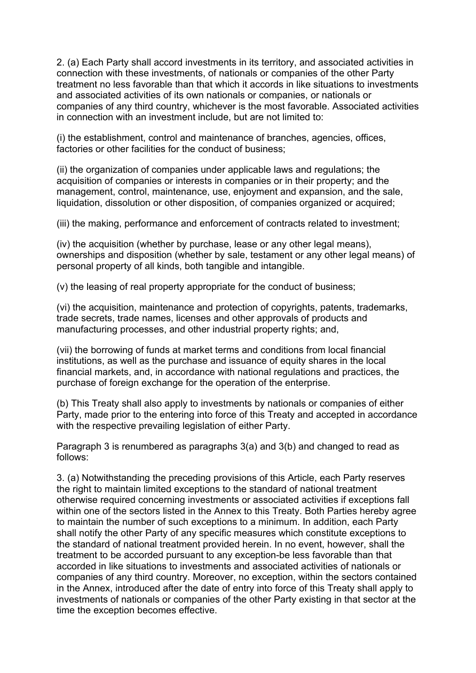2. (a) Each Party shall accord investments in its territory, and associated activities in connection with these investments, of nationals or companies of the other Party treatment no less favorable than that which it accords in like situations to investments and associated activities of its own nationals or companies, or nationals or companies of any third country, whichever is the most favorable. Associated activities in connection with an investment include, but are not limited to:

(i) the establishment, control and maintenance of branches, agencies, offices, factories or other facilities for the conduct of business;

(ii) the organization of companies under applicable laws and regulations; the acquisition of companies or interests in companies or in their property; and the management, control, maintenance, use, enjoyment and expansion, and the sale, liquidation, dissolution or other disposition, of companies organized or acquired;

(iii) the making, performance and enforcement of contracts related to investment;

(iv) the acquisition (whether by purchase, lease or any other legal means), ownerships and disposition (whether by sale, testament or any other legal means) of personal property of all kinds, both tangible and intangible.

(v) the leasing of real property appropriate for the conduct of business;

(vi) the acquisition, maintenance and protection of copyrights, patents, trademarks, trade secrets, trade names, licenses and other approvals of products and manufacturing processes, and other industrial property rights; and,

(vii) the borrowing of funds at market terms and conditions from local financial institutions, as well as the purchase and issuance of equity shares in the local financial markets, and, in accordance with national regulations and practices, the purchase of foreign exchange for the operation of the enterprise.

(b) This Treaty shall also apply to investments by nationals or companies of either Party, made prior to the entering into force of this Treaty and accepted in accordance with the respective prevailing legislation of either Party.

Paragraph 3 is renumbered as paragraphs 3(a) and 3(b) and changed to read as follows:

3. (a) Notwithstanding the preceding provisions of this Article, each Party reserves the right to maintain limited exceptions to the standard of national treatment otherwise required concerning investments or associated activities if exceptions fall within one of the sectors listed in the Annex to this Treaty. Both Parties hereby agree to maintain the number of such exceptions to a minimum. In addition, each Party shall notify the other Party of any specific measures which constitute exceptions to the standard of national treatment provided herein. In no event, however, shall the treatment to be accorded pursuant to any exception-be less favorable than that accorded in like situations to investments and associated activities of nationals or companies of any third country. Moreover, no exception, within the sectors contained in the Annex, introduced after the date of entry into force of this Treaty shall apply to investments of nationals or companies of the other Party existing in that sector at the time the exception becomes effective.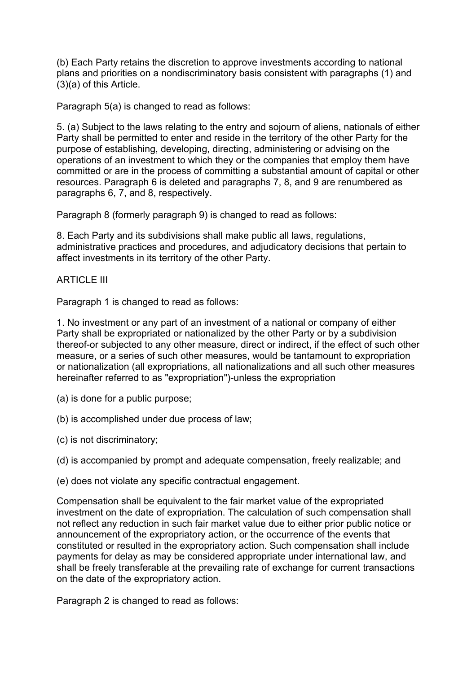(b) Each Party retains the discretion to approve investments according to national plans and priorities on a nondiscriminatory basis consistent with paragraphs (1) and (3)(a) of this Article.

Paragraph 5(a) is changed to read as follows:

5. (a) Subject to the laws relating to the entry and sojourn of aliens, nationals of either Party shall be permitted to enter and reside in the territory of the other Party for the purpose of establishing, developing, directing, administering or advising on the operations of an investment to which they or the companies that employ them have committed or are in the process of committing a substantial amount of capital or other resources. Paragraph 6 is deleted and paragraphs 7, 8, and 9 are renumbered as paragraphs 6, 7, and 8, respectively.

Paragraph 8 (formerly paragraph 9) is changed to read as follows:

8. Each Party and its subdivisions shall make public all laws, regulations, administrative practices and procedures, and adjudicatory decisions that pertain to affect investments in its territory of the other Party.

ARTICLE III

Paragraph 1 is changed to read as follows:

1. No investment or any part of an investment of a national or company of either Party shall be expropriated or nationalized by the other Party or by a subdivision thereof-or subjected to any other measure, direct or indirect, if the effect of such other measure, or a series of such other measures, would be tantamount to expropriation or nationalization (all expropriations, all nationalizations and all such other measures hereinafter referred to as "expropriation")-unless the expropriation

- (a) is done for a public purpose;
- (b) is accomplished under due process of law;
- (c) is not discriminatory;
- (d) is accompanied by prompt and adequate compensation, freely realizable; and

(e) does not violate any specific contractual engagement.

Compensation shall be equivalent to the fair market value of the expropriated investment on the date of expropriation. The calculation of such compensation shall not reflect any reduction in such fair market value due to either prior public notice or announcement of the expropriatory action, or the occurrence of the events that constituted or resulted in the expropriatory action. Such compensation shall include payments for delay as may be considered appropriate under international law, and shall be freely transferable at the prevailing rate of exchange for current transactions on the date of the expropriatory action.

Paragraph 2 is changed to read as follows: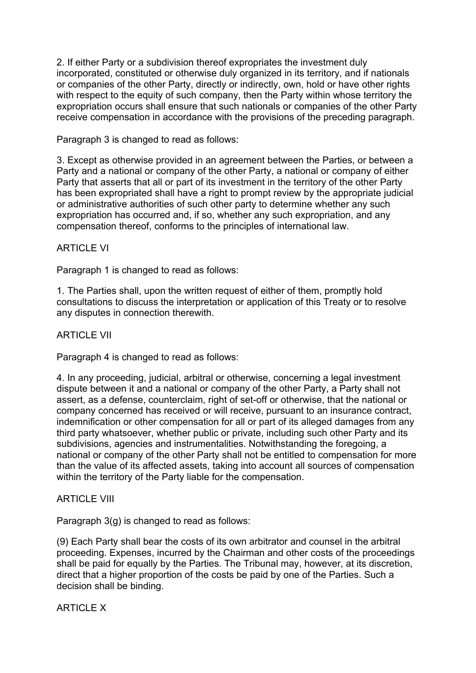2. If either Party or a subdivision thereof expropriates the investment duly incorporated, constituted or otherwise duly organized in its territory, and if nationals or companies of the other Party, directly or indirectly, own, hold or have other rights with respect to the equity of such company, then the Party within whose territory the expropriation occurs shall ensure that such nationals or companies of the other Party receive compensation in accordance with the provisions of the preceding paragraph.

Paragraph 3 is changed to read as follows:

3. Except as otherwise provided in an agreement between the Parties, or between a Party and a national or company of the other Party, a national or company of either Party that asserts that all or part of its investment in the territory of the other Party has been expropriated shall have a right to prompt review by the appropriate judicial or administrative authorities of such other party to determine whether any such expropriation has occurred and, if so, whether any such expropriation, and any compensation thereof, conforms to the principles of international law.

# ARTICLE VI

Paragraph 1 is changed to read as follows:

1. The Parties shall, upon the written request of either of them, promptly hold consultations to discuss the interpretation or application of this Treaty or to resolve any disputes in connection therewith.

## ARTICLE VII

Paragraph 4 is changed to read as follows:

4. In any proceeding, judicial, arbitral or otherwise, concerning a legal investment dispute between it and a national or company of the other Party, a Party shall not assert, as a defense, counterclaim, right of set-off or otherwise, that the national or company concerned has received or will receive, pursuant to an insurance contract, indemnification or other compensation for all or part of its alleged damages from any third party whatsoever, whether public or private, including such other Party and its subdivisions, agencies and instrumentalities. Notwithstanding the foregoing, a national or company of the other Party shall not be entitled to compensation for more than the value of its affected assets, taking into account all sources of compensation within the territory of the Party liable for the compensation.

### **ARTICLE VIII**

Paragraph 3(g) is changed to read as follows:

(9) Each Party shall bear the costs of its own arbitrator and counsel in the arbitral proceeding. Expenses, incurred by the Chairman and other costs of the proceedings shall be paid for equally by the Parties. The Tribunal may, however, at its discretion, direct that a higher proportion of the costs be paid by one of the Parties. Such a decision shall be binding.

ARTICLE X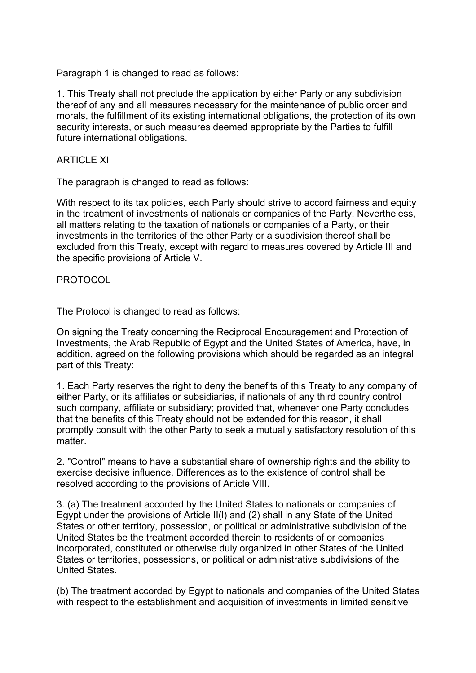Paragraph 1 is changed to read as follows:

1. This Treaty shall not preclude the application by either Party or any subdivision thereof of any and all measures necessary for the maintenance of public order and morals, the fulfillment of its existing international obligations, the protection of its own security interests, or such measures deemed appropriate by the Parties to fulfill future international obligations.

# ARTICLE XI

The paragraph is changed to read as follows:

With respect to its tax policies, each Party should strive to accord fairness and equity in the treatment of investments of nationals or companies of the Party. Nevertheless, all matters relating to the taxation of nationals or companies of a Party, or their investments in the territories of the other Party or a subdivision thereof shall be excluded from this Treaty, except with regard to measures covered by Article III and the specific provisions of Article V.

#### **PROTOCOL**

The Protocol is changed to read as follows:

On signing the Treaty concerning the Reciprocal Encouragement and Protection of Investments, the Arab Republic of Egypt and the United States of America, have, in addition, agreed on the following provisions which should be regarded as an integral part of this Treaty:

1. Each Party reserves the right to deny the benefits of this Treaty to any company of either Party, or its affiliates or subsidiaries, if nationals of any third country control such company, affiliate or subsidiary; provided that, whenever one Party concludes that the benefits of this Treaty should not be extended for this reason, it shall promptly consult with the other Party to seek a mutually satisfactory resolution of this matter.

2. "Control" means to have a substantial share of ownership rights and the ability to exercise decisive influence. Differences as to the existence of control shall be resolved according to the provisions of Article VIII.

3. (a) The treatment accorded by the United States to nationals or companies of Egypt under the provisions of Article II(l) and (2) shall in any State of the United States or other territory, possession, or political or administrative subdivision of the United States be the treatment accorded therein to residents of or companies incorporated, constituted or otherwise duly organized in other States of the United States or territories, possessions, or political or administrative subdivisions of the United States.

(b) The treatment accorded by Egypt to nationals and companies of the United States with respect to the establishment and acquisition of investments in limited sensitive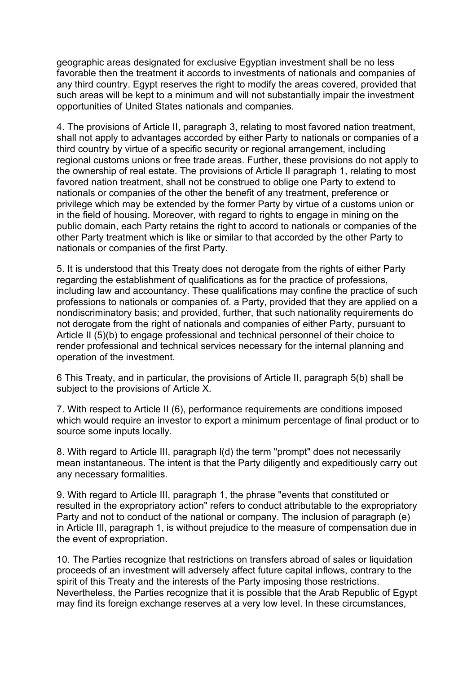geographic areas designated for exclusive Egyptian investment shall be no less favorable then the treatment it accords to investments of nationals and companies of any third country. Egypt reserves the right to modify the areas covered, provided that such areas will be kept to a minimum and will not substantially impair the investment opportunities of United States nationals and companies.

4. The provisions of Article II, paragraph 3, relating to most favored nation treatment, shall not apply to advantages accorded by either Party to nationals or companies of a third country by virtue of a specific security or regional arrangement, including regional customs unions or free trade areas. Further, these provisions do not apply to the ownership of real estate. The provisions of Article II paragraph 1, relating to most favored nation treatment, shall not be construed to oblige one Party to extend to nationals or companies of the other the benefit of any treatment, preference or privilege which may be extended by the former Party by virtue of a customs union or in the field of housing. Moreover, with regard to rights to engage in mining on the public domain, each Party retains the right to accord to nationals or companies of the other Party treatment which is like or similar to that accorded by the other Party to nationals or companies of the first Party.

5. It is understood that this Treaty does not derogate from the rights of either Party regarding the establishment of qualifications as for the practice of professions, including law and accountancy. These qualifications may confine the practice of such professions to nationals or companies of. a Party, provided that they are applied on a nondiscriminatory basis; and provided, further, that such nationality requirements do not derogate from the right of nationals and companies of either Party, pursuant to Article II (5)(b) to engage professional and technical personnel of their choice to render professional and technical services necessary for the internal planning and operation of the investment.

6 This Treaty, and in particular, the provisions of Article II, paragraph 5(b) shall be subject to the provisions of Article X.

7. With respect to Article II (6), performance requirements are conditions imposed which would require an investor to export a minimum percentage of final product or to source some inputs locally.

8. With regard to Article III, paragraph l(d) the term "prompt" does not necessarily mean instantaneous. The intent is that the Party diligently and expeditiously carry out any necessary formalities.

9. With regard to Article III, paragraph 1, the phrase "events that constituted or resulted in the expropriatory action" refers to conduct attributable to the expropriatory Party and not to conduct of the national or company. The inclusion of paragraph (e) in Article III, paragraph 1, is without prejudice to the measure of compensation due in the event of expropriation.

10. The Parties recognize that restrictions on transfers abroad of sales or liquidation proceeds of an investment will adversely affect future capital inflows, contrary to the spirit of this Treaty and the interests of the Party imposing those restrictions. Nevertheless, the Parties recognize that it is possible that the Arab Republic of Egypt may find its foreign exchange reserves at a very low level. In these circumstances,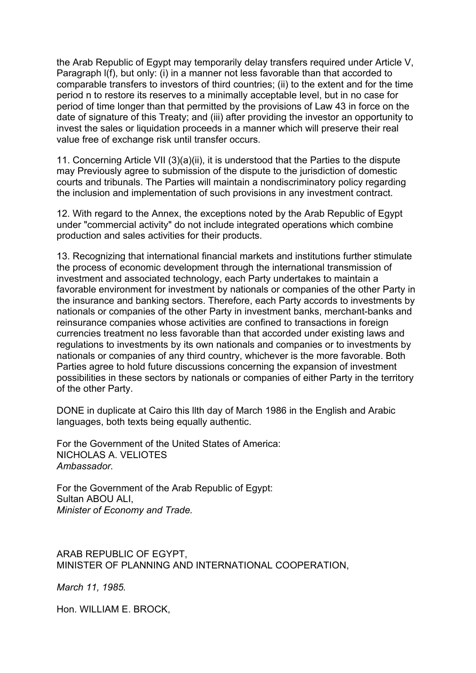the Arab Republic of Egypt may temporarily delay transfers required under Article V, Paragraph l(f), but only: (i) in a manner not less favorable than that accorded to comparable transfers to investors of third countries; (ii) to the extent and for the time period n to restore its reserves to a minimally acceptable level, but in no case for period of time longer than that permitted by the provisions of Law 43 in force on the date of signature of this Treaty; and (iii) after providing the investor an opportunity to invest the sales or liquidation proceeds in a manner which will preserve their real value free of exchange risk until transfer occurs.

11. Concerning Article VII (3)(a)(ii), it is understood that the Parties to the dispute may Previously agree to submission of the dispute to the jurisdiction of domestic courts and tribunals. The Parties will maintain a nondiscriminatory policy regarding the inclusion and implementation of such provisions in any investment contract.

12. With regard to the Annex, the exceptions noted by the Arab Republic of Egypt under "commercial activity" do not include integrated operations which combine production and sales activities for their products.

13. Recognizing that international financial markets and institutions further stimulate the process of economic development through the international transmission of investment and associated technology, each Party undertakes to maintain a favorable environment for investment by nationals or companies of the other Party in the insurance and banking sectors. Therefore, each Party accords to investments by nationals or companies of the other Party in investment banks, merchant-banks and reinsurance companies whose activities are confined to transactions in foreign currencies treatment no less favorable than that accorded under existing laws and regulations to investments by its own nationals and companies or to investments by nationals or companies of any third country, whichever is the more favorable. Both Parties agree to hold future discussions concerning the expansion of investment possibilities in these sectors by nationals or companies of either Party in the territory of the other Party.

DONE in duplicate at Cairo this llth day of March 1986 in the English and Arabic languages, both texts being equally authentic.

For the Government of the United States of America: NICHOLAS A. VELIOTES *Ambassador.*

For the Government of the Arab Republic of Egypt: Sultan ABOU ALI, *Minister of Economy and Trade.* 

ARAB REPUBLIC OF EGYPT, MINISTER OF PLANNING AND INTERNATIONAL COOPERATION,

*March 11, 1985.* 

Hon. WILLIAM E. BROCK,